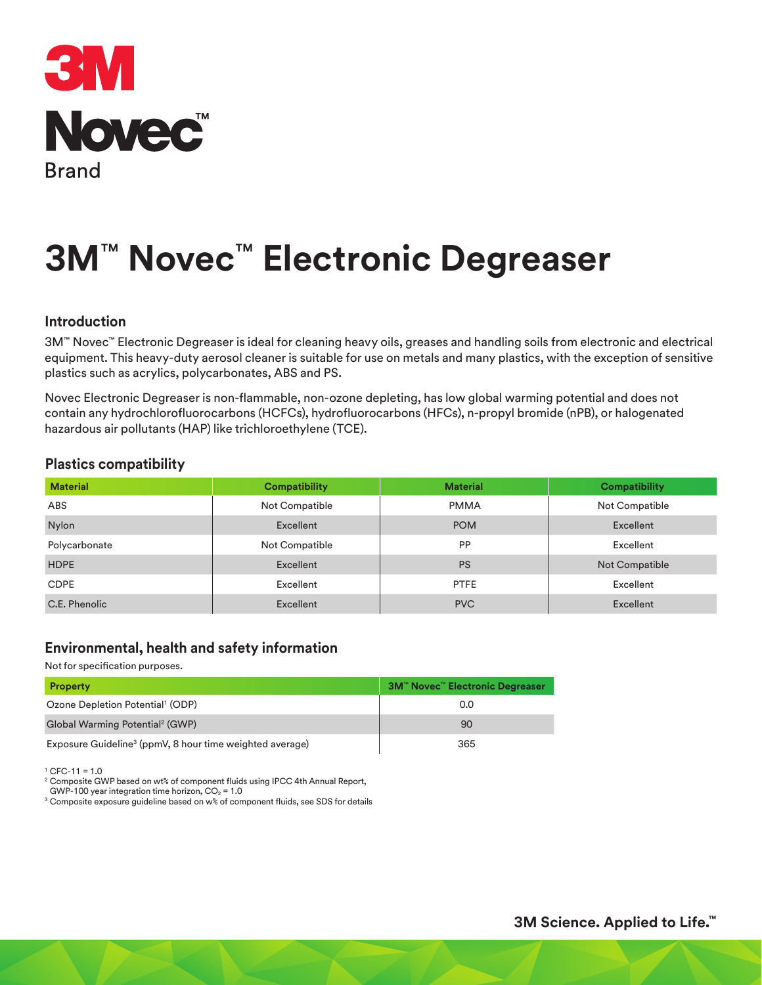

# **3M**™ **Novec**™ **Electronic Degreaser**

#### **Introduction**

3M™ Novec™ Electronic Degreaser is ideal for cleaning heavy oils, greases and handling soils from electronic and electrical equipment. This heavy-duty aerosol cleaner is suitable for use on metals and many plastics, with the exception of sensitive plastics such as acrylics, polycarbonates, ABS and PS.

Novec Electronic Degreaser is non-flammable, non-ozone depleting, has low global warming potential and does not contain any hydrochlorofluorocarbons (HCFCs), hydrofluorocarbons (HFCs), n-propyl bromide (nPB), or halogenated hazardous air pollutants (HAP) like trichloroethylene (TCE).

#### **Plastics compatibility**

| <b>Material</b> | <b>Compatibility</b> | <b>Material</b> | <b>Compatibility</b> |
|-----------------|----------------------|-----------------|----------------------|
| ABS             | Not Compatible       | <b>PMMA</b>     | Not Compatible       |
| <b>Nylon</b>    | Excellent            | <b>POM</b>      | Excellent            |
| Polycarbonate   | Not Compatible       | PP              | Excellent            |
| <b>HDPE</b>     | Excellent            | <b>PS</b>       | Not Compatible       |
| <b>CDPE</b>     | Excellent            | <b>PTFE</b>     | Excellent            |
| C.E. Phenolic   | Excellent            | <b>PVC</b>      | Excellent            |

#### **Environmental, health and safety information**

Not for specification purposes.

| <b>Property</b>                                                      | <b>3M™ Novec™ Electronic Degreaser</b> |
|----------------------------------------------------------------------|----------------------------------------|
| Ozone Depletion Potential <sup>1</sup> (ODP)                         | 0.0                                    |
| Global Warming Potential <sup>2</sup> (GWP)                          | 90                                     |
| Exposure Guideline <sup>3</sup> (ppmV, 8 hour time weighted average) | 365                                    |

 $1$  CFC-11 = 1.0

<sup>2</sup> Composite GWP based on wt% of component fluids using IPCC 4th Annual Report,

GWP-100 year integration time horizon,  $CO<sub>2</sub> = 1.0$ 

<sup>3</sup> Composite exposure guideline based on w% of component fluids, see SDS for details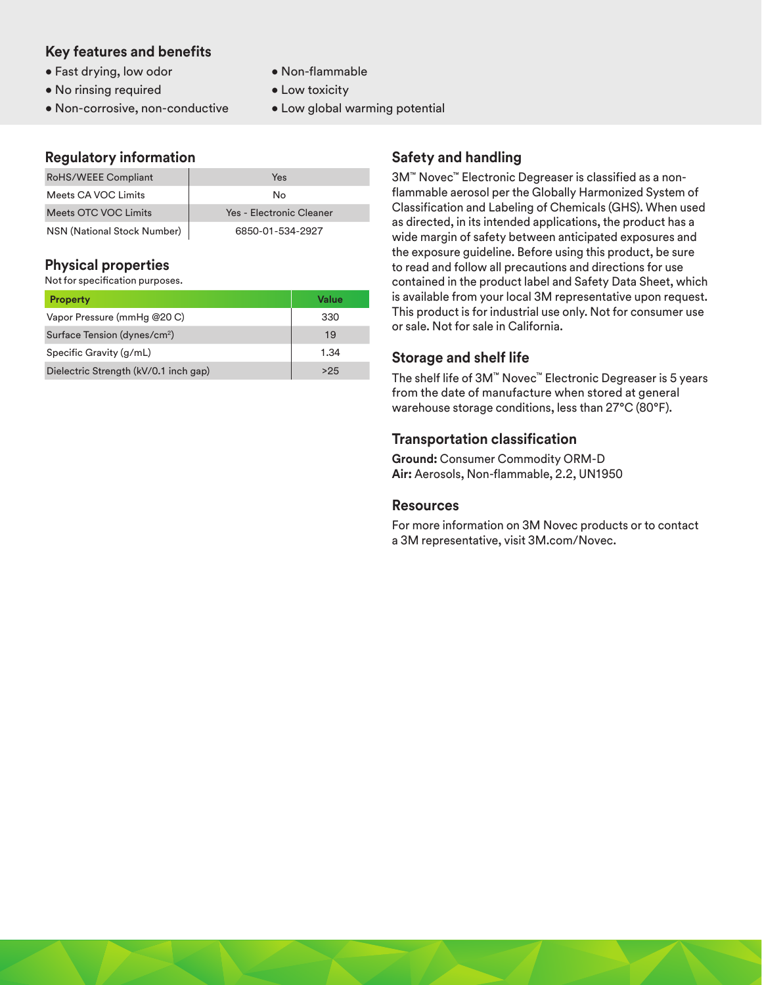### **Key features and benefits**

- Fast drying, low odor
- No rinsing required
- Non-corrosive, non-conductive

#### • Non-flammable

- Low toxicity
- Low global warming potential

# **Regulatory information**

| RoHS/WEEE Compliant         | Yes                      |  |
|-----------------------------|--------------------------|--|
| Meets CA VOC Limits         | No                       |  |
| Meets OTC VOC Limits        | Yes - Electronic Cleaner |  |
| NSN (National Stock Number) | 6850-01-534-2927         |  |

# **Physical properties**

Not for specification purposes.

| <b>Property</b>                          | Value |
|------------------------------------------|-------|
| Vapor Pressure (mmHg @20 C)              | 330   |
| Surface Tension (dynes/cm <sup>2</sup> ) | 19    |
| Specific Gravity (g/mL)                  | 1.34  |
| Dielectric Strength (kV/0.1 inch gap)    | >25   |

# **Safety and handling**

3M™ Novec™ Electronic Degreaser is classified as a nonflammable aerosol per the Globally Harmonized System of Classification and Labeling of Chemicals (GHS). When used as directed, in its intended applications, the product has a wide margin of safety between anticipated exposures and the exposure guideline. Before using this product, be sure to read and follow all precautions and directions for use contained in the product label and Safety Data Sheet, which is available from your local 3M representative upon request. This product is for industrial use only. Not for consumer use or sale. Not for sale in California.

# **Storage and shelf life**

The shelf life of 3M™ Novec™ Electronic Degreaser is 5 years from the date of manufacture when stored at general warehouse storage conditions, less than 27°C (80°F).

# **Transportation classification**

**Ground:** Consumer Commodity ORM-D **Air:** Aerosols, Non-flammable, 2.2, UN1950

#### **Resources**

For more information on 3M Novec products or to contact a 3M representative, visit 3M.com/Novec.